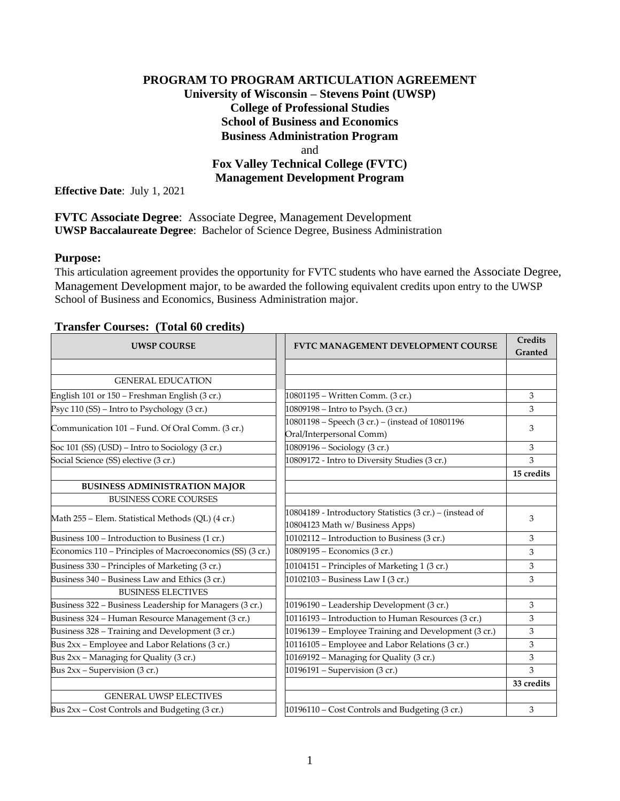## **PROGRAM TO PROGRAM ARTICULATION AGREEMENT University of Wisconsin – Stevens Point (UWSP) College of Professional Studies School of Business and Economics Business Administration Program** and **Fox Valley Technical College (FVTC) Management Development Program**

**Effective Date**: July 1, 2021

**FVTC Associate Degree**: Associate Degree, Management Development **UWSP Baccalaureate Degree**: Bachelor of Science Degree, Business Administration

### **Purpose:**

This articulation agreement provides the opportunity for FVTC students who have earned the Associate Degree, Management Development major, to be awarded the following equivalent credits upon entry to the UWSP School of Business and Economics, Business Administration major.

| <b>UWSP COURSE</b>                                        | <b>FVTC MANAGEMENT DEVELOPMENT COURSE</b>                                                  | <b>Credits</b><br>Granted |
|-----------------------------------------------------------|--------------------------------------------------------------------------------------------|---------------------------|
|                                                           |                                                                                            |                           |
| <b>GENERAL EDUCATION</b>                                  |                                                                                            |                           |
| English 101 or 150 - Freshman English (3 cr.)             | 10801195 – Written Comm. (3 cr.)                                                           | 3                         |
| Psyc 110 (SS) – Intro to Psychology (3 cr.)               | 10809198 - Intro to Psych. (3 cr.)                                                         | 3                         |
| Communication 101 – Fund. Of Oral Comm. (3 cr.)           | 10801198 - Speech (3 cr.) - (instead of 10801196<br>Oral/Interpersonal Comm)               | 3                         |
| Soc 101 (SS) (USD) - Intro to Sociology (3 cr.)           | 10809196 - Sociology (3 cr.)                                                               | 3                         |
| Social Science (SS) elective (3 cr.)                      | 10809172 - Intro to Diversity Studies (3 cr.)                                              | 3                         |
|                                                           |                                                                                            | 15 credits                |
| <b>BUSINESS ADMINISTRATION MAJOR</b>                      |                                                                                            |                           |
| <b>BUSINESS CORE COURSES</b>                              |                                                                                            |                           |
| Math 255 – Elem. Statistical Methods (QL) (4 cr.)         | 10804189 - Introductory Statistics (3 cr.) – (instead of<br>10804123 Math w/Business Apps) | 3                         |
| Business 100 - Introduction to Business (1 cr.)           | 10102112 - Introduction to Business (3 cr.)                                                | 3                         |
| Economics 110 – Principles of Macroeconomics (SS) (3 cr.) | 10809195 - Economics (3 cr.)                                                               | 3                         |
| Business 330 - Principles of Marketing (3 cr.)            | 10104151 – Principles of Marketing 1 (3 cr.)                                               | 3                         |
| Business 340 - Business Law and Ethics (3 cr.)            | 10102103 - Business Law I (3 cr.)                                                          | 3                         |
| <b>BUSINESS ELECTIVES</b>                                 |                                                                                            |                           |
| Business 322 - Business Leadership for Managers (3 cr.)   | 10196190 - Leadership Development (3 cr.)                                                  | 3                         |
| Business 324 - Human Resource Management (3 cr.)          | 10116193 - Introduction to Human Resources (3 cr.)                                         | 3                         |
| Business 328 - Training and Development (3 cr.)           | 10196139 - Employee Training and Development (3 cr.)                                       | 3                         |
| Bus 2xx - Employee and Labor Relations (3 cr.)            | 10116105 - Employee and Labor Relations (3 cr.)                                            | 3                         |
| Bus 2xx - Managing for Quality (3 cr.)                    | 10169192 - Managing for Quality (3 cr.)                                                    | 3                         |
| Bus 2xx - Supervision (3 cr.)                             | 10196191 - Supervision (3 cr.)                                                             | 3                         |
|                                                           |                                                                                            | 33 credits                |
| <b>GENERAL UWSP ELECTIVES</b>                             |                                                                                            |                           |
| Bus 2xx – Cost Controls and Budgeting (3 cr.)             | 10196110 - Cost Controls and Budgeting (3 cr.)                                             | 3                         |

#### **Transfer Courses: (Total 60 credits)**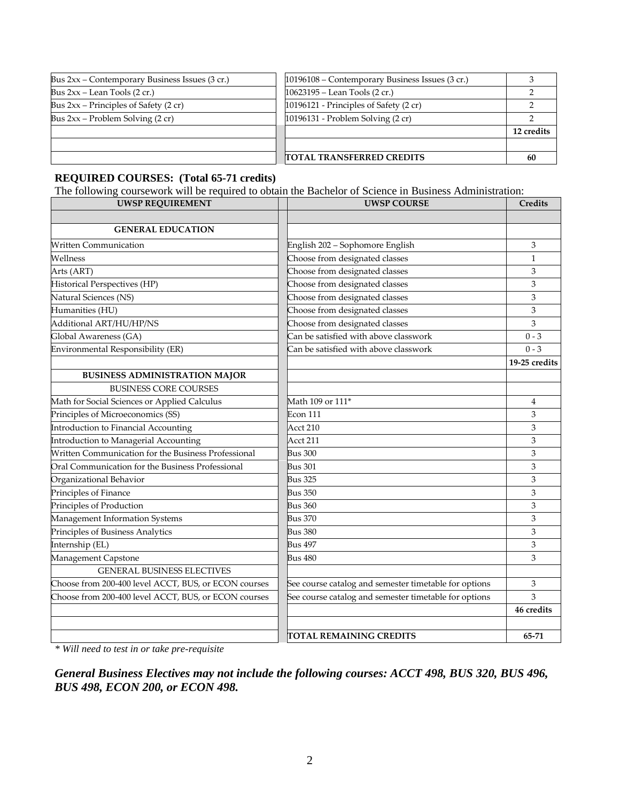| Bus $2xx$ – Contemporary Business Issues (3 cr.) | 10196108 – Contemporary Business Issues (3 cr.)  |            |
|--------------------------------------------------|--------------------------------------------------|------------|
| Bus $2xx$ – Lean Tools $(2 \text{ cr.})$         | $10623195 -$ Lean Tools (2 cr.)                  |            |
| Bus $2xx$ – Principles of Safety (2 cr)          | 10196121 - Principles of Safety $(2 \text{ cr})$ |            |
| Bus $2xx$ – Problem Solving (2 cr)               | 10196131 - Problem Solving (2 cr)                |            |
|                                                  |                                                  | 12 credits |
|                                                  |                                                  |            |
|                                                  | <b>TOTAL TRANSFERRED CREDITS</b>                 | -60        |

## **REQUIRED COURSES: (Total 65-71 credits)**

The following coursework will be required to obtain the Bachelor of Science in Business Administration:

| <b>UWSP REQUIREMENT</b>                              | <b>UWSP COURSE</b>                                    | Credits       |
|------------------------------------------------------|-------------------------------------------------------|---------------|
|                                                      |                                                       |               |
| <b>GENERAL EDUCATION</b>                             |                                                       |               |
| <b>Written Communication</b>                         | English 202 - Sophomore English                       | 3             |
| Wellness                                             | Choose from designated classes                        | $\mathbf{1}$  |
| Arts (ART)                                           | Choose from designated classes                        | 3             |
| Historical Perspectives (HP)                         | Choose from designated classes                        | 3             |
| Natural Sciences (NS)                                | Choose from designated classes                        | 3             |
| Humanities (HU)                                      | Choose from designated classes                        | 3             |
| Additional ART/HU/HP/NS                              | Choose from designated classes                        | 3             |
| Global Awareness (GA)                                | Can be satisfied with above classwork                 | $0 - 3$       |
| Environmental Responsibility (ER)                    | Can be satisfied with above classwork                 | $0 - 3$       |
|                                                      |                                                       | 19-25 credits |
| <b>BUSINESS ADMINISTRATION MAJOR</b>                 |                                                       |               |
| <b>BUSINESS CORE COURSES</b>                         |                                                       |               |
| Math for Social Sciences or Applied Calculus         | Math 109 or 111*                                      | 4             |
| Principles of Microeconomics (SS)                    | Econ 111                                              | 3             |
| Introduction to Financial Accounting                 | Acct 210                                              | 3             |
| Introduction to Managerial Accounting                | Acct 211                                              | 3             |
| Written Communication for the Business Professional  | <b>Bus 300</b>                                        | 3             |
| Oral Communication for the Business Professional     | <b>Bus 301</b>                                        | 3             |
| Organizational Behavior                              | <b>Bus 325</b>                                        | 3             |
| Principles of Finance                                | <b>Bus 350</b>                                        | 3             |
| Principles of Production                             | <b>Bus 360</b>                                        | 3             |
| Management Information Systems                       | <b>Bus 370</b>                                        | 3             |
| Principles of Business Analytics                     | <b>Bus 380</b>                                        | 3             |
| Internship (EL)                                      | <b>Bus 497</b>                                        | 3             |
| Management Capstone                                  | <b>Bus 480</b>                                        | 3             |
| <b>GENERAL BUSINESS ELECTIVES</b>                    |                                                       |               |
| Choose from 200-400 level ACCT, BUS, or ECON courses | See course catalog and semester timetable for options | 3             |
| Choose from 200-400 level ACCT, BUS, or ECON courses | See course catalog and semester timetable for options | 3             |
|                                                      |                                                       | 46 credits    |
|                                                      |                                                       |               |
|                                                      | <b>TOTAL REMAINING CREDITS</b>                        | 65-71         |

*\* Will need to test in or take pre-requisite*

*General Business Electives may not include the following courses: ACCT 498, BUS 320, BUS 496, BUS 498, ECON 200, or ECON 498.*